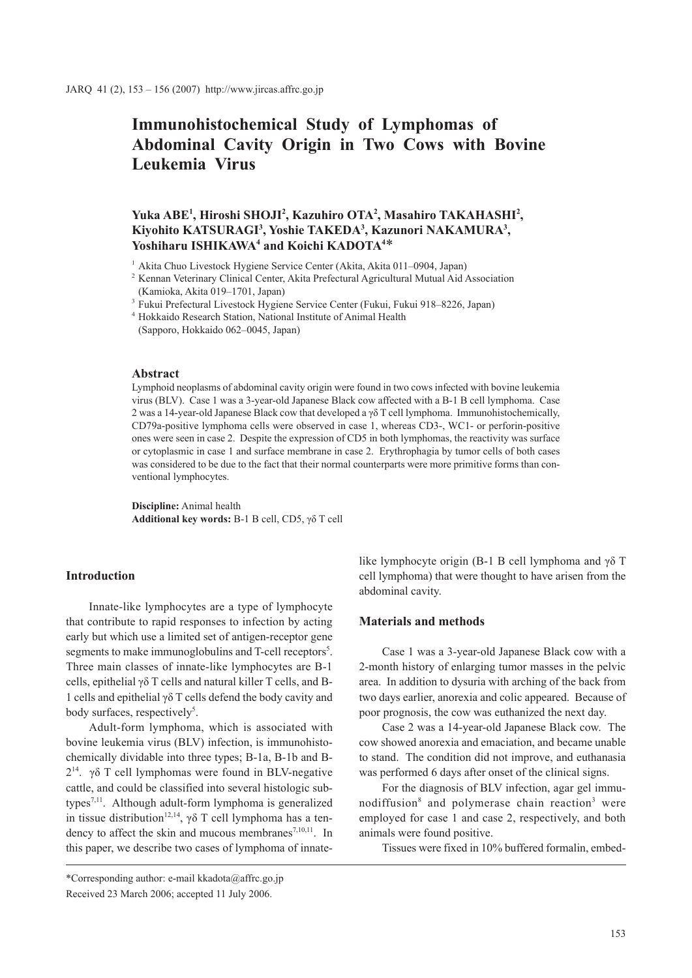# **Immunohistochemical Study of Lymphomas of Abdominal Cavity Origin in Two Cows with Bovine Leukemia Virus**

# Yuka ABE<sup>1</sup>, Hiroshi SHOJI<sup>2</sup>, Kazuhiro OTA<sup>2</sup>, Masahiro TAKAHASHI<sup>2</sup>, **Kiyohito KATSURAGI3 , Yoshie TAKEDA3 , Kazunori NAKAMURA3 ,**  Yoshiharu ISHIKAWA<sup>4</sup> and Koichi KADOTA<sup>4\*</sup>

<sup>1</sup> Akita Chuo Livestock Hygiene Service Center (Akita, Akita 011–0904, Japan)

<sup>2</sup> Kennan Veterinary Clinical Center, Akita Prefectural Agricultural Mutual Aid Association (Kamioka, Akita 019–1701, Japan)

<sup>3</sup> Fukui Prefectural Livestock Hygiene Service Center (Fukui, Fukui 918–8226, Japan)

<sup>4</sup> Hokkaido Research Station, National Institute of Animal Health

(Sapporo, Hokkaido 062–0045, Japan)

# **Abstract**

Lymphoid neoplasms of abdominal cavity origin were found in two cows infected with bovine leukemia virus (BLV). Case 1 was a 3-year-old Japanese Black cow affected with a B-1 B cell lymphoma. Case 2 was a 14-year-old Japanese Black cow that developed a  $\gamma\delta$  T cell lymphoma. Immunohistochemically, CD79a-positive lymphoma cells were observed in case 1, whereas CD3-, WC1- or perforin-positive ones were seen in case 2. Despite the expression of CD5 in both lymphomas, the reactivity was surface or cytoplasmic in case 1 and surface membrane in case 2. Erythrophagia by tumor cells of both cases was considered to be due to the fact that their normal counterparts were more primitive forms than conventional lymphocytes.

**Discipline:** Animal health **Additional key words:** B-1 B cell, CD5, γδ T cell

# **Introduction**

Innate-like lymphocytes are a type of lymphocyte that contribute to rapid responses to infection by acting early but which use a limited set of antigen-receptor gene segments to make immunoglobulins and T-cell receptors<sup>5</sup>. Three main classes of innate-like lymphocytes are B-1 cells, epithelial γδ T cells and natural killer T cells, and B-1 cells and epithelial γδ T cells defend the body cavity and body surfaces, respectively<sup>5</sup>.

Adult-form lymphoma, which is associated with bovine leukemia virus (BLV) infection, is immunohistochemically dividable into three types; B-1a, B-1b and B- $2<sup>14</sup>$ . γδ T cell lymphomas were found in BLV-negative cattle, and could be classified into several histologic subtypes7,11. Although adult-form lymphoma is generalized in tissue distribution<sup>12,14</sup>, γδ T cell lymphoma has a tendency to affect the skin and mucous membranes<sup>7,10,11</sup>. In this paper, we describe two cases of lymphoma of innate-

like lymphocyte origin (B-1 B cell lymphoma and γδ T cell lymphoma) that were thought to have arisen from the abdominal cavity.

# **Materials and methods**

Case 1 was a 3-year-old Japanese Black cow with a 2-month history of enlarging tumor masses in the pelvic area. In addition to dysuria with arching of the back from two days earlier, anorexia and colic appeared. Because of poor prognosis, the cow was euthanized the next day.

Case 2 was a 14-year-old Japanese Black cow. The cow showed anorexia and emaciation, and became unable to stand. The condition did not improve, and euthanasia was performed 6 days after onset of the clinical signs.

For the diagnosis of BLV infection, agar gel immunodiffusion<sup>8</sup> and polymerase chain reaction<sup>3</sup> were employed for case 1 and case 2, respectively, and both animals were found positive.

Tissues were fixed in 10% buffered formalin, embed-

<sup>\*</sup>Corresponding author: e-mail kkadota@affrc.go.jp Received 23 March 2006; accepted 11 July 2006.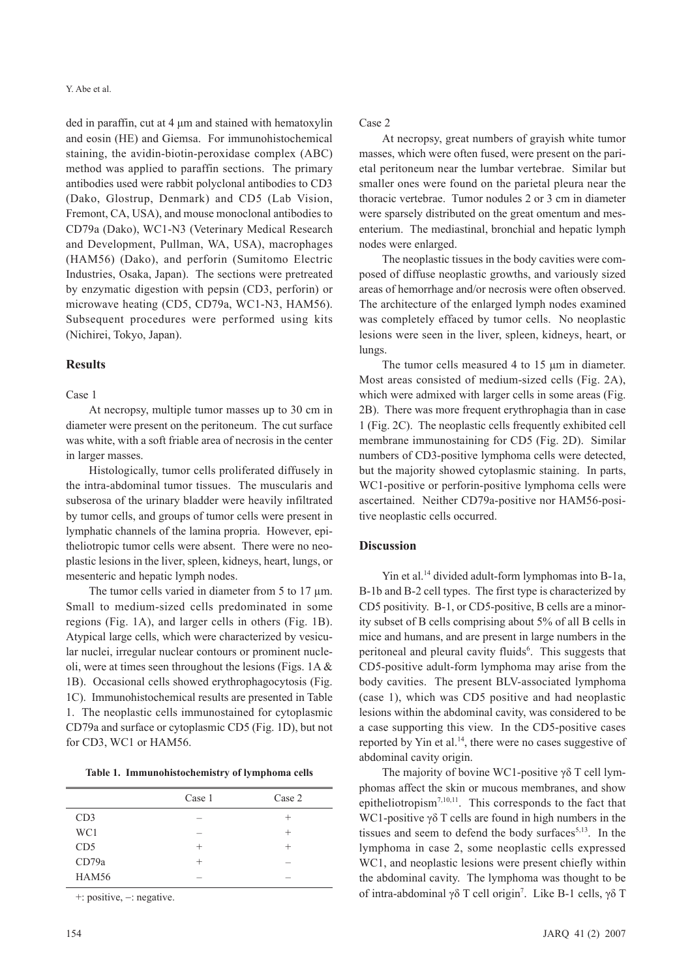ded in paraffin, cut at 4 μm and stained with hematoxylin and eosin (HE) and Giemsa. For immunohistochemical staining, the avidin-biotin-peroxidase complex (ABC) method was applied to paraffin sections. The primary antibodies used were rabbit polyclonal antibodies to CD3 (Dako, Glostrup, Denmark) and CD5 (Lab Vision, Fremont, CA, USA), and mouse monoclonal antibodies to CD79a (Dako), WC1-N3 (Veterinary Medical Research and Development, Pullman, WA, USA), macrophages (HAM56) (Dako), and perforin (Sumitomo Electric Industries, Osaka, Japan). The sections were pretreated by enzymatic digestion with pepsin (CD3, perforin) or microwave heating (CD5, CD79a, WC1-N3, HAM56). Subsequent procedures were performed using kits (Nichirei, Tokyo, Japan).

#### **Results**

#### Case 1

At necropsy, multiple tumor masses up to 30 cm in diameter were present on the peritoneum. The cut surface was white, with a soft friable area of necrosis in the center in larger masses.

Histologically, tumor cells proliferated diffusely in the intra-abdominal tumor tissues. The muscularis and subserosa of the urinary bladder were heavily infiltrated by tumor cells, and groups of tumor cells were present in lymphatic channels of the lamina propria. However, epitheliotropic tumor cells were absent. There were no neoplastic lesions in the liver, spleen, kidneys, heart, lungs, or mesenteric and hepatic lymph nodes.

The tumor cells varied in diameter from 5 to 17  $\mu$ m. Small to medium-sized cells predominated in some regions (Fig. 1A), and larger cells in others (Fig. 1B). Atypical large cells, which were characterized by vesicular nuclei, irregular nuclear contours or prominent nucleoli, were at times seen throughout the lesions (Figs. 1A & 1B). Occasional cells showed erythrophagocytosis (Fig. 1C). Immunohistochemical results are presented in Table 1. The neoplastic cells immunostained for cytoplasmic CD79a and surface or cytoplasmic CD5 (Fig. 1D), but not for CD3, WC1 or HAM56.

|                 | Case 1 | Case 2 |
|-----------------|--------|--------|
| CD3             |        | $^{+}$ |
| WC1             |        | $^+$   |
| CD <sub>5</sub> | $^+$   | $^{+}$ |
| CD79a           | $^+$   |        |
| <b>HAM56</b>    |        |        |

+: positive, -: negative.

### Case 2

At necropsy, great numbers of grayish white tumor masses, which were often fused, were present on the parietal peritoneum near the lumbar vertebrae. Similar but smaller ones were found on the parietal pleura near the thoracic vertebrae. Tumor nodules 2 or 3 cm in diameter were sparsely distributed on the great omentum and mesenterium. The mediastinal, bronchial and hepatic lymph nodes were enlarged.

The neoplastic tissues in the body cavities were composed of diffuse neoplastic growths, and variously sized areas of hemorrhage and/or necrosis were often observed. The architecture of the enlarged lymph nodes examined was completely effaced by tumor cells. No neoplastic lesions were seen in the liver, spleen, kidneys, heart, or lungs.

The tumor cells measured 4 to 15 um in diameter. Most areas consisted of medium-sized cells (Fig. 2A), which were admixed with larger cells in some areas (Fig. 2B). There was more frequent erythrophagia than in case 1 (Fig. 2C). The neoplastic cells frequently exhibited cell membrane immunostaining for CD5 (Fig. 2D). Similar numbers of CD3-positive lymphoma cells were detected, but the majority showed cytoplasmic staining. In parts, WC1-positive or perforin-positive lymphoma cells were ascertained. Neither CD79a-positive nor HAM56-positive neoplastic cells occurred.

# **Discussion**

Yin et al.<sup>14</sup> divided adult-form lymphomas into B-1a, B-1b and B-2 cell types. The first type is characterized by CD5 positivity. B-1, or CD5-positive, B cells are a minority subset of B cells comprising about 5% of all B cells in mice and humans, and are present in large numbers in the peritoneal and pleural cavity fluids<sup>6</sup>. This suggests that CD5-positive adult-form lymphoma may arise from the body cavities. The present BLV-associated lymphoma (case 1), which was CD5 positive and had neoplastic lesions within the abdominal cavity, was considered to be a case supporting this view. In the CD5-positive cases reported by Yin et al.<sup>14</sup>, there were no cases suggestive of abdominal cavity origin.

The majority of bovine WC1-positive γδ T cell lymphomas affect the skin or mucous membranes, and show epitheliotropism<sup>7,10,11</sup>. This corresponds to the fact that WC1-positive  $\gamma\delta$  T cells are found in high numbers in the tissues and seem to defend the body surfaces<sup>5,13</sup>. In the lymphoma in case 2, some neoplastic cells expressed WC1, and neoplastic lesions were present chiefly within the abdominal cavity. The lymphoma was thought to be of intra-abdominal γδ T cell origin<sup>7</sup>. Like B-1 cells, γδ T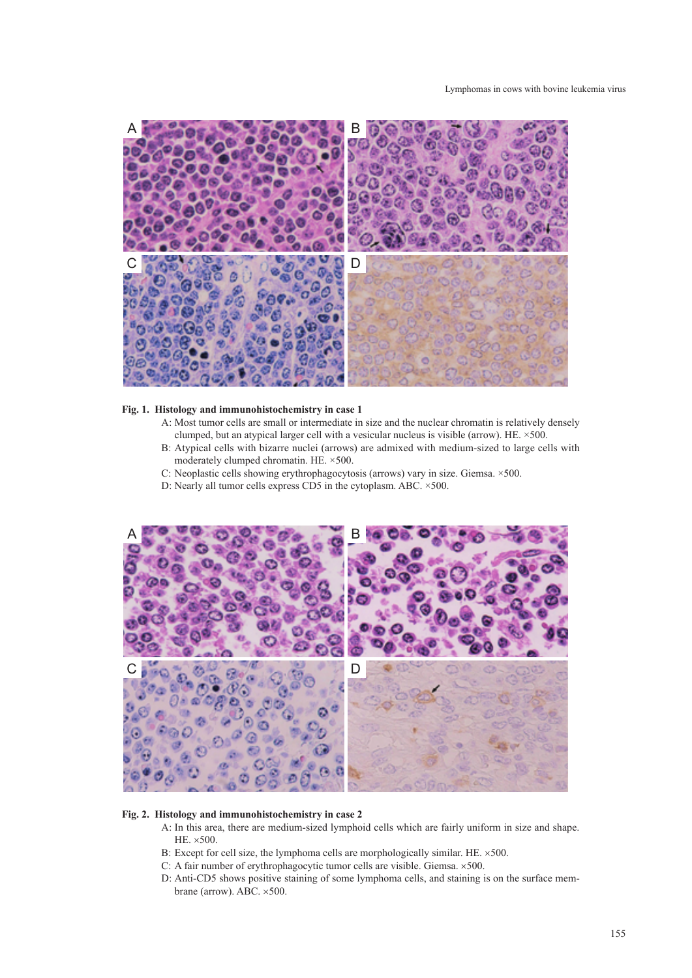

#### **Fig. 1. Histology and immunohistochemistry in case 1**

- A: Most tumor cells are small or intermediate in size and the nuclear chromatin is relatively densely clumped, but an atypical larger cell with a vesicular nucleus is visible (arrow). HE. ×500.
- B: Atypical cells with bizarre nuclei (arrows) are admixed with medium-sized to large cells with moderately clumped chromatin. HE. ×500.
- C: Neoplastic cells showing erythrophagocytosis (arrows) vary in size. Giemsa. ×500.
- D: Nearly all tumor cells express CD5 in the cytoplasm. ABC. ×500.



#### **Fig. 2. Histology and immunohistochemistry in case 2**

- A: In this area, there are medium-sized lymphoid cells which are fairly uniform in size and shape. HE. ×500.
- B: Except for cell size, the lymphoma cells are morphologically similar. HE.  $\times$  500.
- C: A fair number of erythrophagocytic tumor cells are visible. Giemsa. ×500.
- D: Anti-CD5 shows positive staining of some lymphoma cells, and staining is on the surface membrane (arrow). ABC. ×500.